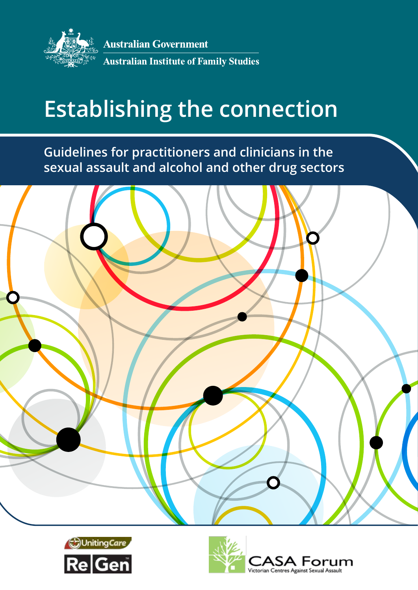

**Australian Government Australian Institute of Family Studies** 

# <span id="page-0-0"></span>**Establishing the connection**

**Guidelines for practitioners and clinicians in the sexual assault and alcohol and other drug sectors**





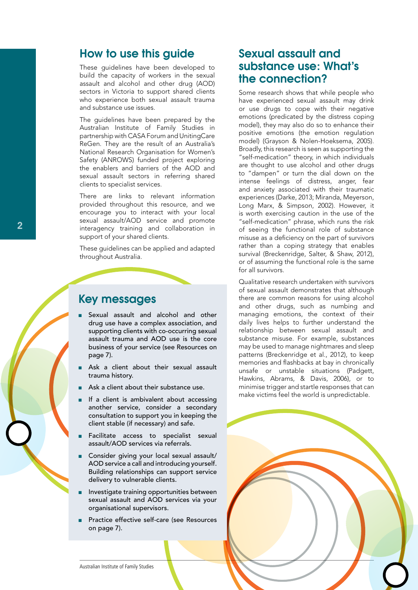## How to use this guide

These guidelines have been developed to build the capacity of workers in the sexual assault and alcohol and other drug (AOD) sectors in Victoria to support shared clients who experience both sexual assault trauma and substance use issues.

The guidelines have been prepared by the Australian Institute of Family Studies in partnership with CASA Forum and UnitingCare ReGen. They are the result of an Australia's National Research Organisation for Women's Safety (ANROWS) funded project exploring the enablers and barriers of the AOD and sexual assault sectors in referring shared clients to specialist services.

There are links to relevant information provided throughout this resource, and we encourage you to interact with your local sexual assault/AOD service and promote interagency training and collaboration in support of your shared clients.

These guidelines can be applied and adapted throughout Australia.



## Key messages

- Sexual assault and alcohol and other drug use have a complex association, and supporting clients with co-occurring sexual assault trauma and AOD use is the core business of your service (see Resources on [page](#page-6-0) 7).
- Ask a client about their sexual assault trauma history.
- Ask a client about their substance use.
- If a client is ambivalent about accessing another service, consider a secondary consultation to support you in keeping the client stable (if necessary) and safe.
- Facilitate access to specialist sexual assault/AOD services via referrals.
- Consider giving your local sexual assault/ AOD service a call and introducing yourself. Building relationships can support service delivery to vulnerable clients.
- Investigate training opportunities between sexual assault and AOD services via your organisational supervisors.
- Practice effective self-care (see Resources on [page](#page-6-0) 7).

# Sexual assault and substance use: What's the connection?

Some research shows that while people who have experienced sexual assault may drink or use drugs to cope with their negative emotions (predicated by the distress coping model), they may also do so to enhance their positive emotions (the emotion regulation model) (Grayson & Nolen-Hoeksema, 2005). Broadly, this research is seen as supporting the "self-medication" theory, in which individuals are thought to use alcohol and other drugs to "dampen" or turn the dial down on the intense feelings of distress, anger, fear and anxiety associated with their traumatic experiences (Darke, 2013; Miranda, Meyerson, Long Marx, & Simpson, 2002). However, it is worth exercising caution in the use of the "self-medication" phrase, which runs the risk of seeing the functional role of substance misuse as a deficiency on the part of survivors rather than a coping strategy that enables survival (Breckenridge, Salter, & Shaw, 2012), or of assuming the functional role is the same for all survivors.

Qualitative research undertaken with survivors of sexual assault demonstrates that although there are common reasons for using alcohol and other drugs, such as numbing and managing emotions, the context of their daily lives helps to further understand the relationship between sexual assault and substance misuse. For example, substances may be used to manage nightmares and sleep patterns (Breckenridge et al., 2012), to keep memories and flashbacks at bay in chronically unsafe or unstable situations (Padgett, Hawkins, Abrams, & Davis, 2006), or to minimise trigger and startle responses that can make victims feel the world is unpredictable.

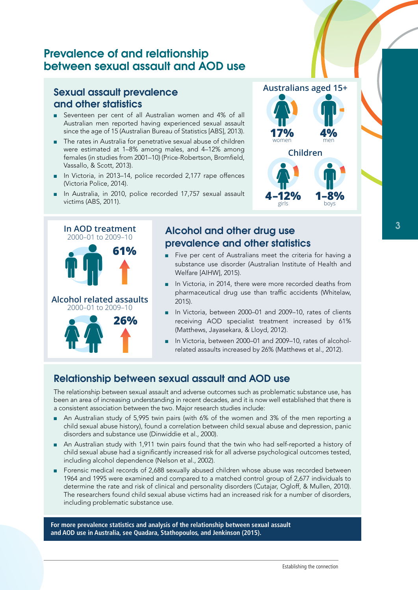# Prevalence of and relationship between sexual assault and AOD use

## Sexual assault prevalence and other statistics

- Seventeen per cent of all Australian women and 4% of all Australian men reported having experienced sexual assault since the age of 15 (Australian Bureau of Statistics [ABS], 2013).
- The rates in Australia for penetrative sexual abuse of children were estimated at 1–8% among males, and 4–12% among females (in studies from 2001–10) (Price-Robertson, Bromfield, Vassallo, & Scott, 2013).
- In Victoria, in 2013–14, police recorded 2,177 rape offences (Victoria Police, 2014).
- In Australia, in 2010, police recorded 17,757 sexual assault victims (ABS, 2011).



## Alcohol and other drug use prevalence and other statistics

■ Five per cent of Australians meet the criteria for having a substance use disorder (Australian Institute of Health and Welfare [AIHW], 2015).

**Australians aged 15+**

**Children**

**4–12% 1–8%** girls boys

**17%** 

- In Victoria, in 2014, there were more recorded deaths from pharmaceutical drug use than traffic accidents (Whitelaw, 2015).
- In Victoria, between 2000–01 and 2009–10, rates of clients receiving AOD specialist treatment increased by 61% (Matthews, Jayasekara, & Lloyd, 2012).
- In Victoria, between 2000–01 and 2009–10, rates of alcoholrelated assaults increased by 26% (Matthews et al., 2012).

## Relationship between sexual assault and AOD use

The relationship between sexual assault and adverse outcomes such as problematic substance use, has been an area of increasing understanding in recent decades, and it is now well established that there is a consistent association between the two. Major research studies include:

- An Australian study of 5,995 twin pairs (with 6% of the women and 3% of the men reporting a child sexual abuse history), found a correlation between child sexual abuse and depression, panic disorders and substance use (Dinwiddie et al., 2000).
- An Australian study with 1,911 twin pairs found that the twin who had self-reported a history of child sexual abuse had a significantly increased risk for all adverse psychological outcomes tested, including alcohol dependence (Nelson et al., 2002).
- Forensic medical records of 2,688 sexually abused children whose abuse was recorded between 1964 and 1995 were examined and compared to a matched control group of 2,677 individuals to determine the rate and risk of clinical and personality disorders (Cutajar, Ogloff, & Mullen, 2010). The researchers found child sexual abuse victims had an increased risk for a number of disorders, including problematic substance use.

**For more prevalence statistics and analysis of the relationship between sexual assault and AOD use in Australia, see Quadara, Stathopoulos, and Jenkinson (2015).**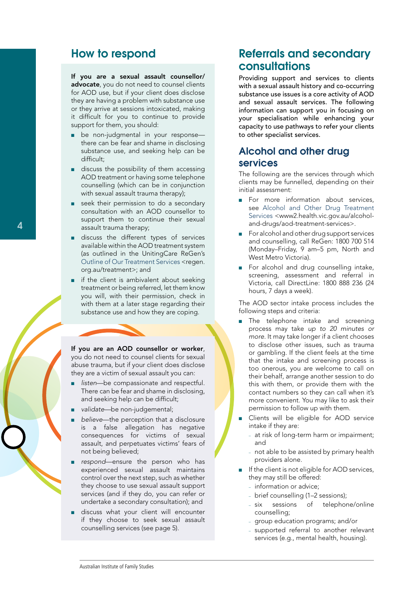# How to respond

If you are a sexual assault counsellor/ advocate, you do not need to counsel clients for AOD use, but if your client does disclose they are having a problem with substance use or they arrive at sessions intoxicated, making it difficult for you to continue to provide support for them, you should:

- be non-judgmental in your response there can be fear and shame in disclosing substance use, and seeking help can be difficult;
- discuss the possibility of them accessing AOD treatment or having some telephone counselling (which can be in conjunction with sexual assault trauma therapy);
- seek their permission to do a secondary consultation with an AOD counsellor to support them to continue their sexual assault trauma therapy;
- discuss the different types of services available within the AOD treatment system (as outlined in the UnitingCare ReGen's [Outline of Our Treatment Services](http://regen.org.au/treatment) <regen. org.au/treatment>; and
- if the client is ambivalent about seeking treatment or being referred, let them know you will, with their permission, check in with them at a later stage regarding their substance use and how they are coping.

If you are an AOD counsellor or worker, you do not need to counsel clients for sexual abuse trauma, but if your client does disclose they are a victim of sexual assault you can:

- listen—be compassionate and respectful. There can be fear and shame in disclosing, and seeking help can be difficult;
- validate-be non-judgemental;
- believe—the perception that a disclosure is a false allegation has negative consequences for victims of sexual assault, and perpetuates victims' fears of not being believed;
- respond—ensure the person who has experienced sexual assault maintains control over the next step, such as whether they choose to use sexual assault support services (and if they do, you can refer or undertake a secondary consultation); and
- discuss what your client will encounter if they choose to seek sexual assault counselling services (see [page](#page-4-0) 5).

# Referrals and secondary consultations

Providing support and services to clients with a sexual assault history and co-occurring substance use issues is a core activity of AOD and sexual assault services. The following information can support you in focusing on your specialisation while enhancing your capacity to use pathways to refer your clients to other specialist services.

## Alcohol and other drug services

The following are the services through which clients may be funnelled, depending on their initial assessment:

- For more information about services, see [Alcohol and Other Drug Treatment](https://www2.health.vic.gov.au/alcohol-and-drugs/aod-treatment-services)  [Services](https://www2.health.vic.gov.au/alcohol-and-drugs/aod-treatment-services) <www2.health.vic.gov.au/alcoholand-drugs/aod-treatment-services>.
- For alcohol and other drug support services and counselling, call ReGen: 1800 700 514 (Monday–Friday, 9 am–5 pm, North and West Metro Victoria).
- For alcohol and drug counselling intake, screening, assessment and referral in Victoria, call DirectLine: 1800 888 236 (24 hours, 7 days a week).

The AOD sector intake process includes the following steps and criteria:

- The telephone intake and screening process may take *up to 20 minutes or more*. It may take longer if a client chooses to disclose other issues, such as trauma or gambling. If the client feels at the time that the intake and screening process is too onerous, you are welcome to call on their behalf, arrange another session to do this with them, or provide them with the contact numbers so they can call when it's more convenient. You may like to ask their permission to follow up with them.
- Clients will be eligible for AOD service intake if they are:
	- at risk of long-term harm or impairment; and
	- not able to be assisted by primary health providers alone.
- If the client is not eligible for AOD services, they may still be offered:
	- information or advice;
	- brief counselling (1–2 sessions);
	- six sessions of telephone/online counselling;
	- group education programs; and/or
	- supported referral to another relevant services (e.g., mental health, housing).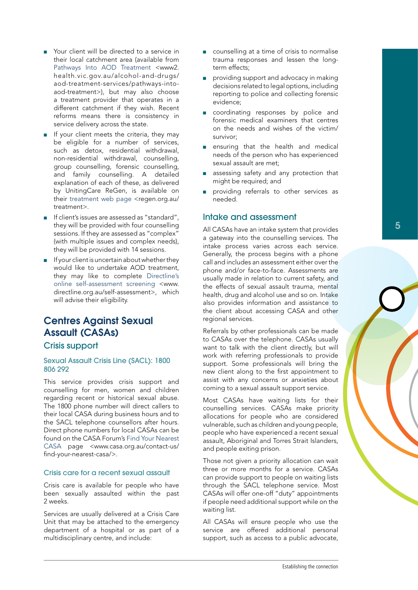- Your client will be directed to a service in their local catchment area (available from [Pathways Into AOD Treatment](https://www2.health.vic.gov.au/alcohol-and-drugs/aod-treatment-services/pathways-into-aod-treatment) <www2. health.vic.gov.au/alcohol-and-drugs/ aod-treatment-services/pathways-intoaod-treatment>), but may also choose a treatment provider that operates in a different catchment if they wish. Recent reforms means there is consistency in service delivery across the state.
- If your client meets the criteria, they may be eligible for a number of services, such as detox, residential withdrawal, non-residential withdrawal, counselling, group counselling, forensic counselling, and family counselling. A detailed explanation of each of these, as delivered by UnitingCare ReGen, is available on their [treatment web page](http://regen.org.au/treatment) <regen.org.au/ treatment>.
- If client's issues are assessed as "standard", they will be provided with four counselling sessions. If they are assessed as "complex" (with multiple issues and complex needs), they will be provided with 14 sessions.
- If your client is uncertain about whether they would like to undertake AOD treatment, they may like to complete [Directline's](http://www.directline.org.au/self-assessment) [online self-assessment screening](http://www.directline.org.au/self-assessment) <www. directline.org.au/self-assessment>, which will advise their eligibility.

# <span id="page-4-0"></span>Centres Against Sexual Assault (CASAs)

## Crisis support

#### Sexual Assault Crisis Line (SACL): 1800 806 292

This service provides crisis support and counselling for men, women and children regarding recent or historical sexual abuse. The 1800 phone number will direct callers to their local CASA during business hours and to the SACL telephone counsellors after hours. Direct phone numbers for local CASAs can be found on the CASA Forum's [Find Your Nearest](http://www.casa.org.au/contact-us/find-your-nearest-casa/) [CASA](http://www.casa.org.au/contact-us/find-your-nearest-casa/) page <www.casa.org.au/contact-us/ find-your-nearest-casa/>.

#### Crisis care for a recent sexual assault

Crisis care is available for people who have been sexually assaulted within the past 2 weeks.

Services are usually delivered at a Crisis Care Unit that may be attached to the emergency department of a hospital or as part of a multidisciplinary centre, and include:

- counselling at a time of crisis to normalise trauma responses and lessen the longterm effects;
- providing support and advocacy in making decisions related to legal options, including reporting to police and collecting forensic evidence;
- coordinating responses by police and forensic medical examiners that centres on the needs and wishes of the victim/ survivor;
- ensuring that the health and medical needs of the person who has experienced sexual assault are met;
- assessing safety and any protection that might be required; and
- providing referrals to other services as needed.

## Intake and assessment

All CASAs have an intake system that provides a gateway into the counselling services. The intake process varies across each service. Generally, the process begins with a phone call and includes an assessment either over the phone and/or face-to-face. Assessments are usually made in relation to current safety, and the effects of sexual assault trauma, mental health, drug and alcohol use and so on. Intake also provides information and assistance to the client about accessing CASA and other regional services.

Referrals by other professionals can be made to CASAs over the telephone. CASAs usually want to talk with the client directly, but will work with referring professionals to provide support. Some professionals will bring the new client along to the first appointment to assist with any concerns or anxieties about coming to a sexual assault support service.

Most CASAs have waiting lists for their counselling services. CASAs make priority allocations for people who are considered vulnerable, such as children and young people, people who have experienced a recent sexual assault, Aboriginal and Torres Strait Islanders, and people exiting prison.

Those not given a priority allocation can wait three or more months for a service. CASAs can provide support to people on waiting lists through the SACL telephone service. Most CASAs will offer one-off "duty" appointments if people need additional support while on the waiting list.

All CASAs will ensure people who use the service are offered additional personal support, such as access to a public advocate,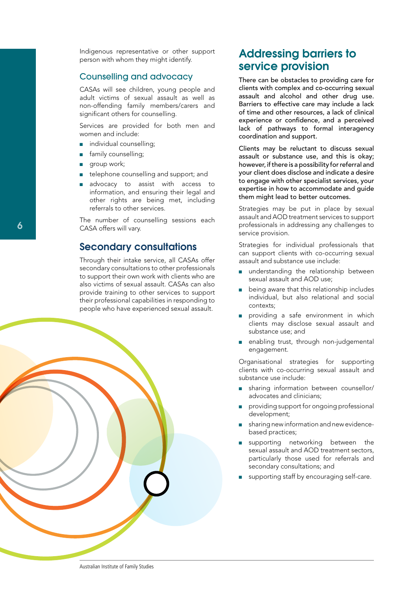Indigenous representative or other support person with whom they might identify.

## Counselling and advocacy

CASAs will see children, young people and adult victims of sexual assault as well as non-offending family members/carers and significant others for counselling.

Services are provided for both men and women and include:

- individual counselling;
- family counselling;
- group work;

6

- telephone counselling and support; and
- advocacy to assist with access to information, and ensuring their legal and other rights are being met, including referrals to other services.

The number of counselling sessions each CASA offers will vary.

## Secondary consultations

Through their intake service, all CASAs offer secondary consultations to other professionals to support their own work with clients who are also victims of sexual assault. CASAs can also provide training to other services to support their professional capabilities in responding to people who have experienced sexual assault.



# Addressing barriers to service provision

There can be obstacles to providing care for clients with complex and co-occurring sexual assault and alcohol and other drug use. Barriers to effective care may include a lack of time and other resources, a lack of clinical experience or confidence, and a perceived lack of pathways to formal interagency coordination and support.

Clients may be reluctant to discuss sexual assault or substance use, and this is okay; however, if there is a possibility for referral and your client does disclose and indicate a desire to engage with other specialist services, your expertise in how to accommodate and guide them might lead to better outcomes.

Strategies may be put in place by sexual assault and AOD treatment services to support professionals in addressing any challenges to service provision.

Strategies for individual professionals that can support clients with co-occurring sexual assault and substance use include:

- understanding the relationship between sexual assault and AOD use;
- being aware that this relationship includes individual, but also relational and social contexts;
- providing a safe environment in which clients may disclose sexual assault and substance use; and
- enabling trust, through non-judgemental engagement.

Organisational strategies for supporting clients with co-occurring sexual assault and substance use include:

- sharing information between counsellor/ advocates and clinicians;
- providing support for ongoing professional development;
- sharing new information and new evidencebased practices;
- supporting networking between the sexual assault and AOD treatment sectors, particularly those used for referrals and secondary consultations; and
- supporting staff by encouraging self-care.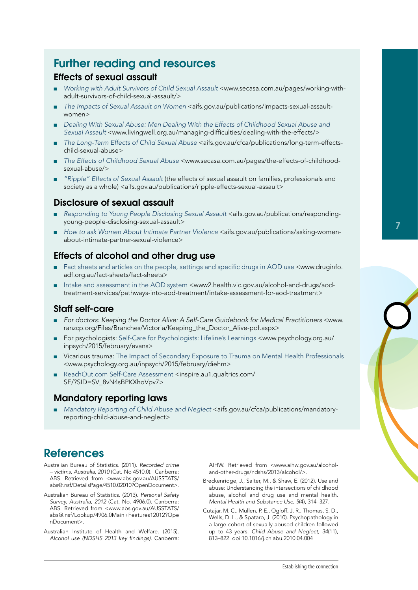# <span id="page-6-0"></span>Further reading and resources

## Effects of sexual assault

- [Working with Adult Survivors of Child Sexual Assault](http://www.secasa.com.au/pages/working-with-adult-survivors-of-child-sexual-assault/) <www.secasa.com.au/pages/working-withadult-survivors-of-child-sexual-assault/>
- [The Impacts of Sexual Assault on Women](http://www3.aifs.gov.au/acssa/pubs/sheets/rs2/) <aifs.gov.au/publications/impacts-sexual-assaultwomen>
- *Dealing With Sexual Abuse: Men Dealing With the Effects of Childhood Sexual Abuse and [Sexual Assault](http://www.livingwell.org.au/managing-difficulties/dealing-with-the-effects/)* <www.livingwell.org.au/managing-difficulties/dealing-with-the-effects/>
- [The Long-Term Effects of Child Sexual Abuse](https://aifs.gov.au/cfca/publications/long-term-effects-child-sexual-abuse) <aifs.gov.au/cfca/publications/long-term-effectschild-sexual-abuse>
- *[The Effects of Childhood Sexual Abuse](http://www.secasa.com.au/pages/the-effects-of-childhood-sexual-abuse/)* <www.secasa.com.au/pages/the-effects-of-childhoodsexual-abuse/>
- *["Ripple" Effects of Sexual Assault](https://www3.aifs.gov.au/acssa/pubs/issue/i7.html)* (the effects of sexual assault on families, professionals and society as a whole) <aifs.gov.au/publications/ripple-effects-sexual-assault>

## Disclosure of sexual assault

- *Responding to Young People Disclosing Sexual Assault <aifs.gov.au/publications/responding*young-people-disclosing-sexual-assault>
- How to ask Women About Intimate Partner Violence <aifs.gov.au/publications/asking-womenabout-intimate-partner-sexual-violence>

## Effects of alcohol and other drug use

- [Fact sheets and articles on the people, settings and specific drugs in AOD use](http://www.druginfo.adf.org.au/fact-sheets/fact-sheets) <www.druginfo. adf.org.au/fact-sheets/fact-sheets>
- [Intake and assessment in the AOD system](https://www2.health.vic.gov.au/alcohol-and-drugs/aod-treatment-services/pathways-into-aod-treatment/intake-assessment-for-aod-treatment) <www2.health.vic.gov.au/alcohol-and-drugs/aodtreatment-services/pathways-into-aod-treatment/intake-assessment-for-aod-treatment>

## Staff self-care

- *For doctors: [Keeping the Doctor Alive: A Self-Care Guidebook for Medical Practitioners](https://www.ranzcp.org/Files/Branches/Victoria/Keeping_the_Doctor_Alive-pdf.aspx)* <www. ranzcp.org/Files/Branches/Victoria/Keeping\_the\_Doctor\_Alive-pdf.aspx>
- For psychologists: [Self-Care for Psychologists: Lifeline's Learnings](http://www.psychology.org.au/inpsych/2015/february/evans) <www.psychology.org.au/ inpsych/2015/february/evans>
- Vicarious trauma: [The Impact of Secondary Exposure to Trauma on Mental Health Professionals](http://www.psychology.org.au/inpsych/2015/february/diehm) <www.psychology.org.au/inpsych/2015/february/diehm>
- [ReachOut.com Self-Care Assessment](https://inspire.au1.qualtrics.com/SE/?SID=SV_8vN4sBPKXhoVpv7) <inspire.au1.qualtrics.com/ SE/?SID=SV\_8vN4sBPKXhoVpv7>

## Mandatory reporting laws

[Mandatory Reporting of Child Abuse and Neglect](https://aifs.gov.au/cfca/publications/mandatory-reporting-child-abuse-and-neglect) <aifs.gov.au/cfca/publications/mandatoryreporting-child-abuse-and-neglect>

# **References**

- Australian Bureau of Statistics. (2011). *Recorded crime – victims, Australia, 2010* (Cat. No 4510.0). Canberra: ABS. Retrieved from <www.abs.gov.au/AUSSTATS/ abs@.nsf/DetailsPage/4510.02010?OpenDocument>.
- Australian Bureau of Statistics. (2013). *Personal Safety Survey, Australia, 2012* (Cat. No. 4906.0). Canberra: ABS. Retrieved from <www.abs.gov.au/AUSSTATS/ abs@.nsf/Lookup/4906.0Main+Features12012?Ope nDocument>.
- Australian Institute of Health and Welfare. (2015). *Alcohol use (NDSHS 2013 key findings)*. Canberra:

AIHW. Retrieved from <www.aihw.gov.au/alcoholand-other-drugs/ndshs/2013/alcohol/>.

- Breckenridge, J., Salter, M., & Shaw, E. (2012). Use and abuse: Understanding the intersections of childhood abuse, alcohol and drug use and mental health. *Mental Health and Substance Use*, *5*(4), 314–327.
- Cutajar, M. C., Mullen, P. E., Ogloff, J. R., Thomas, S. D., Wells, D. L., & Spataro, J. (2010). Psychopathology in a large cohort of sexually abused children followed up to 43 years. *Child Abuse and Neglect*, *34*(11), 813–822. doi:10.1016/j.chiabu.2010.04.004